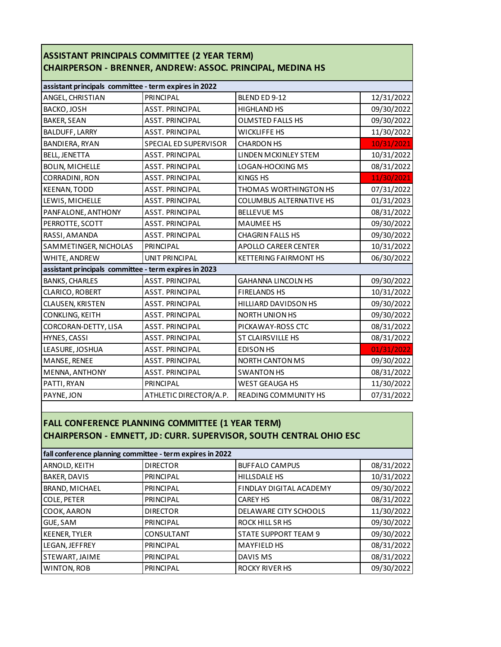| ASSISTANT PRINCIPALS COMMITTEE (2 YEAR TERM)                      |
|-------------------------------------------------------------------|
| <b>CHAIRPERSON - BRENNER, ANDREW: ASSOC. PRINCIPAL, MEDINA HS</b> |

| assistant principals committee - term expires in 2022 |                        |                              |            |
|-------------------------------------------------------|------------------------|------------------------------|------------|
| ANGEL, CHRISTIAN                                      | <b>PRINCIPAL</b>       | BLEND ED 9-12                | 12/31/2022 |
| BACKO, JOSH                                           | <b>ASST. PRINCIPAL</b> | <b>HIGHLAND HS</b>           | 09/30/2022 |
| <b>BAKER, SEAN</b>                                    | <b>ASST. PRINCIPAL</b> | <b>OLMSTED FALLS HS</b>      | 09/30/2022 |
| <b>BALDUFF, LARRY</b>                                 | <b>ASST. PRINCIPAL</b> | <b>WICKLIFFE HS</b>          | 11/30/2022 |
| BANDIERA, RYAN                                        | SPECIAL ED SUPERVISOR  | <b>CHARDON HS</b>            | 10/31/2021 |
| <b>BELL, JENETTA</b>                                  | <b>ASST. PRINCIPAL</b> | LINDEN MCKINLEY STEM         | 10/31/2022 |
| <b>BOLIN, MICHELLE</b>                                | <b>ASST. PRINCIPAL</b> | LOGAN-HOCKING MS             | 08/31/2022 |
| CORRADINI, RON                                        | <b>ASST. PRINCIPAL</b> | KINGS HS                     | 11/30/2021 |
| <b>KEENAN, TODD</b>                                   | <b>ASST. PRINCIPAL</b> | THOMAS WORTHINGTON HS        | 07/31/2022 |
| LEWIS, MICHELLE                                       | <b>ASST. PRINCIPAL</b> | COLUMBUS ALTERNATIVE HS      | 01/31/2023 |
| PANFALONE, ANTHONY                                    | <b>ASST. PRINCIPAL</b> | <b>BELLEVUE MS</b>           | 08/31/2022 |
| PERROTTE, SCOTT                                       | <b>ASST. PRINCIPAL</b> | <b>MAUMEE HS</b>             | 09/30/2022 |
| RASSI, AMANDA                                         | <b>ASST. PRINCIPAL</b> | <b>CHAGRIN FALLS HS</b>      | 09/30/2022 |
| SAMMETINGER, NICHOLAS                                 | <b>PRINCIPAL</b>       | <b>APOLLO CAREER CENTER</b>  | 10/31/2022 |
| WHITE, ANDREW                                         | UNIT PRINCIPAL         | <b>KETTERING FAIRMONT HS</b> | 06/30/2022 |
| assistant principals committee - term expires in 2023 |                        |                              |            |
| <b>BANKS, CHARLES</b>                                 | <b>ASST. PRINCIPAL</b> | <b>GAHANNA LINCOLN HS</b>    | 09/30/2022 |
| CLARICO, ROBERT                                       | <b>ASST. PRINCIPAL</b> | <b>FIRELANDS HS</b>          | 10/31/2022 |
| CLAUSEN, KRISTEN                                      | <b>ASST. PRINCIPAL</b> | HILLIARD DAVIDSON HS         | 09/30/2022 |
| CONKLING, KEITH                                       | <b>ASST. PRINCIPAL</b> | <b>NORTH UNION HS</b>        | 09/30/2022 |
| CORCORAN-DETTY, LISA                                  | <b>ASST. PRINCIPAL</b> | PICKAWAY-ROSS CTC            | 08/31/2022 |
| HYNES, CASSI                                          | <b>ASST. PRINCIPAL</b> | ST CLAIRSVILLE HS            | 08/31/2022 |
| LEASURE, JOSHUA                                       | <b>ASST. PRINCIPAL</b> | <b>EDISON HS</b>             | 01/31/2022 |
| MANSE, RENEE                                          | <b>ASST. PRINCIPAL</b> | <b>NORTH CANTON MS</b>       | 09/30/2022 |
| MENNA, ANTHONY                                        | <b>ASST. PRINCIPAL</b> | <b>SWANTON HS</b>            | 08/31/2022 |
| PATTI, RYAN                                           | <b>PRINCIPAL</b>       | <b>WEST GEAUGA HS</b>        | 11/30/2022 |
| PAYNE, JON                                            | ATHLETIC DIRECTOR/A.P. | READING COMMUNITY HS         | 07/31/2022 |

## **FALL CONFERENCE PLANNING COMMITTEE (1 YEAR TERM) CHAIRPERSON - EMNETT, JD: CURR. SUPERVISOR, SOUTH CENTRAL OHIO ESC**

| fall conference planning committee - term expires in 2022 |                  |                             |            |
|-----------------------------------------------------------|------------------|-----------------------------|------------|
| ARNOLD, KEITH                                             | <b>DIRECTOR</b>  | <b>BUFFALO CAMPUS</b>       | 08/31/2022 |
| BAKER, DAVIS                                              | <b>PRINCIPAL</b> | <b>HILLSDALE HS</b>         | 10/31/2022 |
| BRAND, MICHAEL                                            | <b>PRINCIPAL</b> | FINDLAY DIGITAL ACADEMY     | 09/30/2022 |
| COLE, PETER                                               | <b>PRINCIPAL</b> | <b>CAREY HS</b>             | 08/31/2022 |
| COOK, AARON                                               | <b>DIRECTOR</b>  | DELAWARE CITY SCHOOLS       | 11/30/2022 |
| GUE, SAM                                                  | <b>PRINCIPAL</b> | ROCK HILL SR HS             | 09/30/2022 |
| <b>KEENER, TYLER</b>                                      | CONSULTANT       | <b>STATE SUPPORT TEAM 9</b> | 09/30/2022 |
| LEGAN, JEFFREY                                            | <b>PRINCIPAL</b> | <b>MAYFIELD HS</b>          | 08/31/2022 |
| STEWART, JAIME                                            | <b>PRINCIPAL</b> | DAVIS MS                    | 08/31/2022 |
| WINTON, ROB                                               | <b>PRINCIPAL</b> | <b>ROCKY RIVER HS</b>       | 09/30/2022 |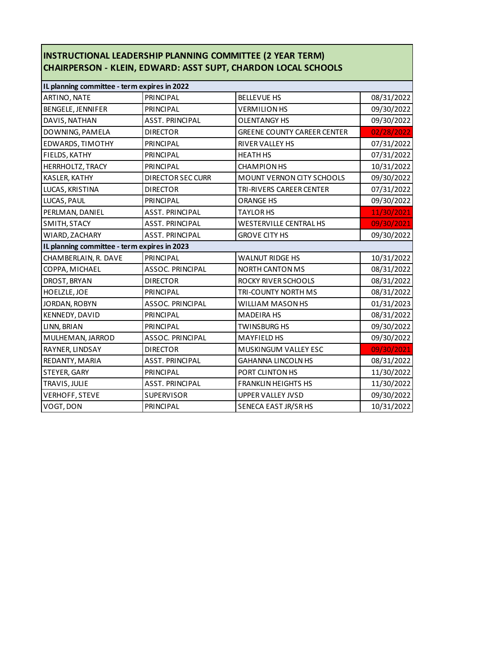## **INSTRUCTIONAL LEADERSHIP PLANNING COMMITTEE (2 YEAR TERM) CHAIRPERSON - KLEIN, EDWARD: ASST SUPT, CHARDON LOCAL SCHOOLS**

| IL planning committee - term expires in 2022 |                         |                                    |            |
|----------------------------------------------|-------------------------|------------------------------------|------------|
| ARTINO, NATE                                 | <b>PRINCIPAL</b>        | <b>BELLEVUE HS</b>                 | 08/31/2022 |
| BENGELE, JENNIFER                            | <b>PRINCIPAL</b>        | <b>VERMILION HS</b>                | 09/30/2022 |
| DAVIS, NATHAN                                | <b>ASST. PRINCIPAL</b>  | <b>OLENTANGY HS</b>                | 09/30/2022 |
| DOWNING, PAMELA                              | <b>DIRECTOR</b>         | <b>GREENE COUNTY CAREER CENTER</b> | 02/28/2022 |
| EDWARDS, TIMOTHY                             | <b>PRINCIPAL</b>        | RIVER VALLEY HS                    | 07/31/2022 |
| FIELDS, KATHY                                | <b>PRINCIPAL</b>        | <b>HEATH HS</b>                    | 07/31/2022 |
| HERRHOLTZ, TRACY                             | <b>PRINCIPAL</b>        | <b>CHAMPION HS</b>                 | 10/31/2022 |
| KASLER, KATHY                                | DIRECTOR SEC CURR       | MOUNT VERNON CITY SCHOOLS          | 09/30/2022 |
| LUCAS, KRISTINA                              | <b>DIRECTOR</b>         | TRI-RIVERS CAREER CENTER           | 07/31/2022 |
| LUCAS, PAUL                                  | <b>PRINCIPAL</b>        | <b>ORANGE HS</b>                   | 09/30/2022 |
| PERLMAN, DANIEL                              | <b>ASST. PRINCIPAL</b>  | <b>TAYLOR HS</b>                   | 11/30/2021 |
| SMITH, STACY                                 | <b>ASST. PRINCIPAL</b>  | <b>WESTERVILLE CENTRAL HS</b>      | 09/30/2021 |
| WIARD, ZACHARY                               | <b>ASST. PRINCIPAL</b>  | <b>GROVE CITY HS</b>               | 09/30/2022 |
| IL planning committee - term expires in 2023 |                         |                                    |            |
| CHAMBERLAIN, R. DAVE                         | <b>PRINCIPAL</b>        | <b>WALNUT RIDGE HS</b>             | 10/31/2022 |
| COPPA, MICHAEL                               | <b>ASSOC. PRINCIPAL</b> | <b>NORTH CANTON MS</b>             | 08/31/2022 |
| DROST, BRYAN                                 | <b>DIRECTOR</b>         | ROCKY RIVER SCHOOLS                | 08/31/2022 |
| HOELZLE, JOE                                 | PRINCIPAL               | TRI-COUNTY NORTH MS                | 08/31/2022 |
| JORDAN, ROBYN                                | <b>ASSOC. PRINCIPAL</b> | WILLIAM MASON HS                   | 01/31/2023 |
| KENNEDY, DAVID                               | PRINCIPAL               | <b>MADEIRA HS</b>                  | 08/31/2022 |
| LINN, BRIAN                                  | <b>PRINCIPAL</b>        | <b>TWINSBURG HS</b>                | 09/30/2022 |
| MULHEMAN, JARROD                             | <b>ASSOC. PRINCIPAL</b> | <b>MAYFIELD HS</b>                 | 09/30/2022 |
| RAYNER, LINDSAY                              | <b>DIRECTOR</b>         | MUSKINGUM VALLEY ESC               | 09/30/2021 |
| REDANTY, MARIA                               | <b>ASST. PRINCIPAL</b>  | <b>GAHANNA LINCOLN HS</b>          | 08/31/2022 |
| STEYER, GARY                                 | <b>PRINCIPAL</b>        | PORT CLINTON HS                    | 11/30/2022 |
| TRAVIS, JULIE                                | <b>ASST. PRINCIPAL</b>  | <b>FRANKLIN HEIGHTS HS</b>         | 11/30/2022 |
| <b>VERHOFF, STEVE</b>                        | <b>SUPERVISOR</b>       | <b>UPPER VALLEY JVSD</b>           | 09/30/2022 |
| VOGT, DON                                    | <b>PRINCIPAL</b>        | SENECA EAST JR/SR HS               | 10/31/2022 |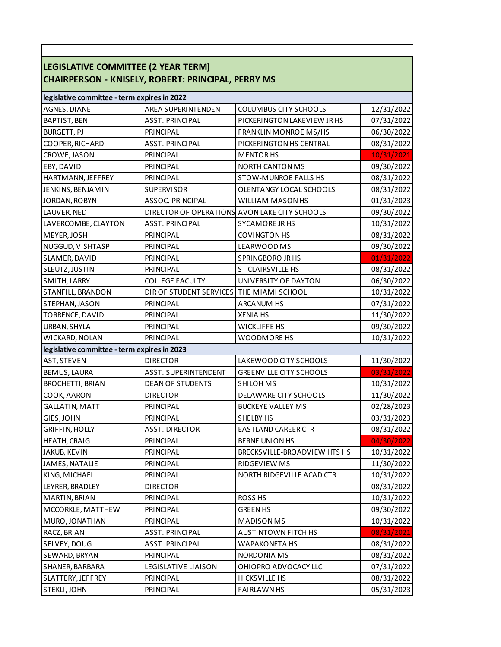| LEGISLATIVE COMMITTEE (2 YEAR TERM)          | <b>CHAIRPERSON - KNISELY, ROBERT: PRINCIPAL, PERRY MS</b> |                                               |            |
|----------------------------------------------|-----------------------------------------------------------|-----------------------------------------------|------------|
| legislative committee - term expires in 2022 |                                                           |                                               |            |
| AGNES, DIANE                                 | <b>AREA SUPERINTENDENT</b>                                | <b>COLUMBUS CITY SCHOOLS</b>                  | 12/31/2022 |
| BAPTIST, BEN                                 | <b>ASST. PRINCIPAL</b>                                    | PICKERINGTON LAKEVIEW JR HS                   | 07/31/2022 |
| <b>BURGETT, PJ</b>                           | PRINCIPAL                                                 | <b>FRANKLIN MONROE MS/HS</b>                  | 06/30/2022 |
| COOPER, RICHARD                              | <b>ASST. PRINCIPAL</b>                                    | PICKERINGTON HS CENTRAL                       | 08/31/2022 |
| CROWE, JASON                                 | PRINCIPAL                                                 | <b>MENTOR HS</b>                              | 10/31/2021 |
| EBY, DAVID                                   | <b>PRINCIPAL</b>                                          | <b>NORTH CANTON MS</b>                        | 09/30/2022 |
| HARTMANN, JEFFREY                            | PRINCIPAL                                                 | <b>STOW-MUNROE FALLS HS</b>                   | 08/31/2022 |
| JENKINS, BENJAMIN                            | <b>SUPERVISOR</b>                                         | OLENTANGY LOCAL SCHOOLS                       | 08/31/2022 |
| JORDAN, ROBYN                                | <b>ASSOC. PRINCIPAL</b>                                   | WILLIAM MASON HS                              | 01/31/2023 |
| LAUVER, NED                                  |                                                           | DIRECTOR OF OPERATIONS AVON LAKE CITY SCHOOLS | 09/30/2022 |
| LAVERCOMBE, CLAYTON                          | <b>ASST. PRINCIPAL</b>                                    | <b>SYCAMORE JR HS</b>                         | 10/31/2022 |
| MEYER, JOSH                                  | PRINCIPAL                                                 | COVINGTON HS                                  | 08/31/2022 |
| NUGGUD, VISHTASP                             | PRINCIPAL                                                 | LEARWOOD MS                                   | 09/30/2022 |
| SLAMER, DAVID                                | PRINCIPAL                                                 | SPRINGBORO JR HS                              | 01/31/2022 |
| SLEUTZ, JUSTIN                               | <b>PRINCIPAL</b>                                          | ST CLAIRSVILLE HS                             | 08/31/2022 |
| SMITH, LARRY                                 | <b>COLLEGE FACULTY</b>                                    | UNIVERSITY OF DAYTON                          | 06/30/2022 |
| STANFILL, BRANDON                            | DIR OF STUDENT SERVICES THE MIAMI SCHOOL                  |                                               | 10/31/2022 |
| STEPHAN, JASON                               | <b>PRINCIPAL</b>                                          | <b>ARCANUM HS</b>                             | 07/31/2022 |
| TORRENCE, DAVID                              | PRINCIPAL                                                 | <b>XENIA HS</b>                               | 11/30/2022 |
| URBAN, SHYLA                                 | PRINCIPAL                                                 | <b>WICKLIFFE HS</b>                           | 09/30/2022 |
| WICKARD, NOLAN                               | PRINCIPAL                                                 | WOODMORE HS                                   | 10/31/2022 |
| legislative committee - term expires in 2023 |                                                           |                                               |            |
| <b>AST, STEVEN</b>                           | <b>DIRECTOR</b>                                           | LAKEWOOD CITY SCHOOLS                         | 11/30/2022 |
| BEMUS, LAURA                                 | <b>ASST. SUPERINTENDENT</b>                               | <b>GREENVILLE CITY SCHOOLS</b>                | 03/31/2022 |
| <b>BROCHETTI, BRIAN</b>                      | <b>DEAN OF STUDENTS</b>                                   | <b>SHILOH MS</b>                              | 10/31/2022 |
| COOK, AARON                                  | <b>DIRECTOR</b>                                           | DELAWARE CITY SCHOOLS                         | 11/30/2022 |
| <b>GALLATIN, MATT</b>                        | PRINCIPAL                                                 | <b>BUCKEYE VALLEY MS</b>                      | 02/28/2023 |
| GIES, JOHN                                   | PRINCIPAL                                                 | SHELBY HS                                     | 03/31/2023 |
| <b>GRIFFIN, HOLLY</b>                        | ASST. DIRECTOR                                            | EASTLAND CAREER CTR                           | 08/31/2022 |
| HEATH, CRAIG                                 | PRINCIPAL                                                 | <b>BERNE UNION HS</b>                         | 04/30/2022 |
| JAKUB, KEVIN                                 | PRINCIPAL                                                 | BRECKSVILLE-BROADVIEW HTS HS                  | 10/31/2022 |
| JAMES, NATALIE                               | PRINCIPAL                                                 | RIDGEVIEW MS                                  | 11/30/2022 |
| KING, MICHAEL                                | PRINCIPAL                                                 | NORTH RIDGEVILLE ACAD CTR                     | 10/31/2022 |
| LEYRER, BRADLEY                              | <b>DIRECTOR</b>                                           |                                               | 08/31/2022 |
| MARTIN, BRIAN                                | <b>PRINCIPAL</b>                                          | ROSS <sub>HS</sub>                            | 10/31/2022 |
| MCCORKLE, MATTHEW                            | PRINCIPAL                                                 | <b>GREEN HS</b>                               | 09/30/2022 |
| MURO, JONATHAN                               | PRINCIPAL                                                 | <b>MADISON MS</b>                             | 10/31/2022 |
| RACZ, BRIAN                                  | <b>ASST. PRINCIPAL</b>                                    | <b>AUSTINTOWN FITCH HS</b>                    | 08/31/2021 |
| SELVEY, DOUG                                 | <b>ASST. PRINCIPAL</b>                                    | WAPAKONETA HS                                 | 08/31/2022 |
| SEWARD, BRYAN                                | PRINCIPAL                                                 | NORDONIA MS                                   | 08/31/2022 |
| SHANER, BARBARA                              | LEGISLATIVE LIAISON                                       | OHIOPRO ADVOCACY LLC                          | 07/31/2022 |
| SLATTERY, JEFFREY                            | PRINCIPAL                                                 | HICKSVILLE HS                                 | 08/31/2022 |
| STEKLI, JOHN                                 | PRINCIPAL                                                 | <b>FAIRLAWN HS</b>                            | 05/31/2023 |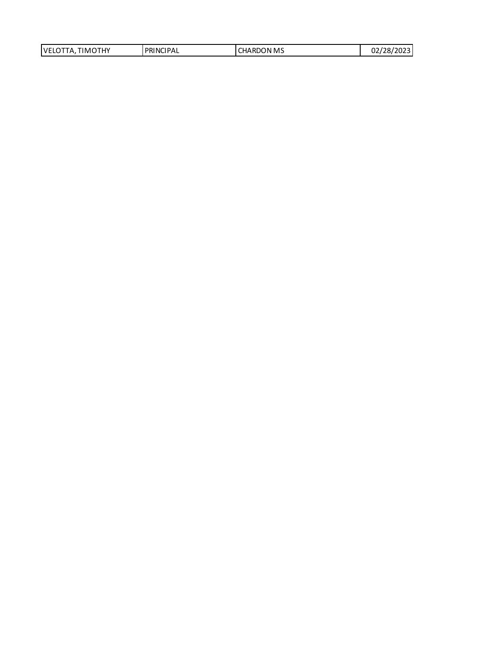| TIMOTHY<br>VELOTTA, | PRINCIPAL | <b>CHARDON MS</b> | 02/28/2023 |
|---------------------|-----------|-------------------|------------|
|                     |           |                   |            |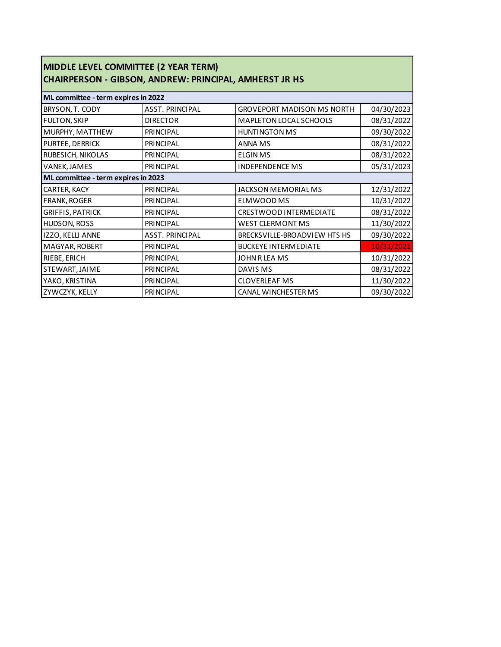| MIDDLE LEVEL COMMITTEE (2 YEAR TERM)<br><b>CHAIRPERSON - GIBSON, ANDREW: PRINCIPAL, AMHERST JR HS</b> |                        |                                   |            |
|-------------------------------------------------------------------------------------------------------|------------------------|-----------------------------------|------------|
| ML committee - term expires in 2022                                                                   |                        |                                   |            |
| BRYSON, T. CODY                                                                                       | <b>ASST. PRINCIPAL</b> | <b>GROVEPORT MADISON MS NORTH</b> | 04/30/2023 |
| <b>FULTON, SKIP</b>                                                                                   | <b>DIRECTOR</b>        | MAPLETON LOCAL SCHOOLS            | 08/31/2022 |
| MURPHY, MATTHEW                                                                                       | <b>PRINCIPAL</b>       | <b>HUNTINGTON MS</b>              | 09/30/2022 |
| PURTEE, DERRICK                                                                                       | <b>PRINCIPAL</b>       | <b>ANNA MS</b>                    | 08/31/2022 |
| RUBESICH, NIKOLAS                                                                                     | <b>PRINCIPAL</b>       | <b>ELGINMS</b>                    | 08/31/2022 |
| VANEK, JAMES                                                                                          | <b>PRINCIPAL</b>       | <b>INDEPENDENCE MS</b>            | 05/31/2023 |
| ML committee - term expires in 2023                                                                   |                        |                                   |            |
| CARTER, KACY                                                                                          | <b>PRINCIPAL</b>       | JACKSON MEMORIAL MS               | 12/31/2022 |
| FRANK, ROGER                                                                                          | <b>PRINCIPAL</b>       | ELMWOOD MS                        | 10/31/2022 |
| <b>GRIFFIS, PATRICK</b>                                                                               | <b>PRINCIPAL</b>       | CRESTWOOD INTERMEDIATE            | 08/31/2022 |
| HUDSON, ROSS                                                                                          | PRINCIPAL              | <b>WEST CLERMONT MS</b>           | 11/30/2022 |
| IZZO, KELLI ANNE                                                                                      | <b>ASST. PRINCIPAL</b> | BRECKSVILLE-BROADVIEW HTS HS      | 09/30/2022 |
| MAGYAR, ROBERT                                                                                        | <b>PRINCIPAL</b>       | <b>BUCKEYE INTERMEDIATE</b>       | 10/31/2021 |
| RIEBE, ERICH                                                                                          | <b>PRINCIPAL</b>       | JOHN R LEA MS                     | 10/31/2022 |
| STEWART, JAIME                                                                                        | <b>PRINCIPAL</b>       | DAVIS MS                          | 08/31/2022 |
| YAKO, KRISTINA                                                                                        | <b>PRINCIPAL</b>       | <b>CLOVERLEAF MS</b>              | 11/30/2022 |
| ZYWCZYK, KELLY                                                                                        | PRINCIPAL              | CANAL WINCHESTER MS               | 09/30/2022 |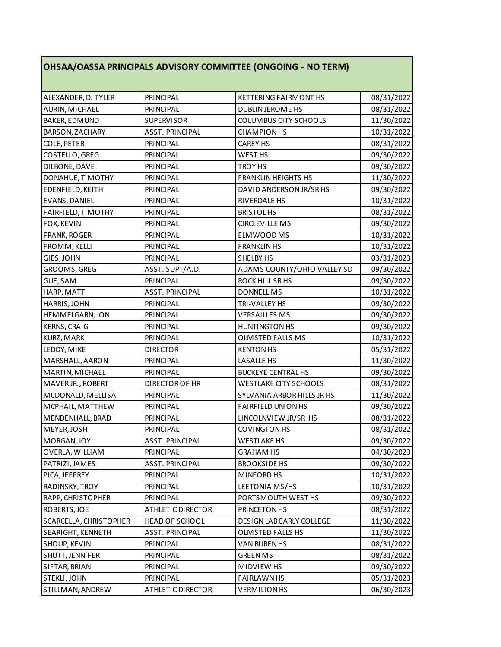## **OHSAA/OASSA PRINCIPALS ADVISORY COMMITTEE (ONGOING - NO TERM)**

| <b>PRINCIPAL</b><br><b>KETTERING FAIRMONT HS</b><br>08/31/2022<br>ALEXANDER, D. TYLER<br>08/31/2022<br>AURIN, MICHAEL<br>PRINCIPAL<br><b>DUBLIN JEROME HS</b><br>SUPERVISOR<br>COLUMBUS CITY SCHOOLS<br><b>BAKER, EDMUND</b><br>11/30/2022<br>BARSON, ZACHARY<br><b>ASST. PRINCIPAL</b><br><b>CHAMPION HS</b><br>10/31/2022<br>COLE, PETER<br><b>PRINCIPAL</b><br><b>CAREY HS</b><br>08/31/2022<br>COSTELLO, GREG<br><b>PRINCIPAL</b><br>WEST HS<br>09/30/2022<br>DILBONE, DAVE<br><b>PRINCIPAL</b><br><b>TROY HS</b><br>09/30/2022<br><b>FRANKLIN HEIGHTS HS</b><br>DONAHUE, TIMOTHY<br>11/30/2022<br><b>PRINCIPAL</b><br>EDENFIELD, KEITH<br>PRINCIPAL<br>DAVID ANDERSON JR/SR HS<br>09/30/2022<br><b>PRINCIPAL</b><br>EVANS, DANIEL<br><b>RIVERDALE HS</b><br>10/31/2022<br>FAIRFIELD, TIMOTHY<br><b>BRISTOL HS</b><br>08/31/2022<br>PRINCIPAL<br><b>PRINCIPAL</b><br><b>CIRCLEVILLE MS</b><br>FOX, KEVIN<br>09/30/2022<br><b>PRINCIPAL</b><br>ELMWOOD MS<br><b>FRANK, ROGER</b><br>10/31/2022<br>FROMM, KELLI<br><b>PRINCIPAL</b><br><b>FRANKLIN HS</b><br>10/31/2022<br>GIES, JOHN<br>PRINCIPAL<br>SHELBY HS<br>03/31/2023<br>ASST. SUPT/A.D.<br>ADAMS COUNTY/OHIO VALLEY SD<br>GROOMS, GREG<br>09/30/2022<br>GUE, SAM<br><b>PRINCIPAL</b><br><b>ROCK HILL SR HS</b><br>09/30/2022<br>HARP, MATT<br><b>ASST. PRINCIPAL</b><br><b>DONNELL MS</b><br>10/31/2022<br>HARRIS, JOHN<br><b>PRINCIPAL</b><br>TRI-VALLEY HS<br>09/30/2022<br>HEMMELGARN, JON<br><b>VERSAILLES MS</b><br>09/30/2022<br>PRINCIPAL<br><b>HUNTINGTON HS</b><br>KERNS, CRAIG<br>PRINCIPAL<br>09/30/2022<br><b>PRINCIPAL</b><br><b>OLMSTED FALLS MS</b><br>KURZ, MARK<br>10/31/2022<br>LEDDY, MIKE<br><b>DIRECTOR</b><br><b>KENTON HS</b><br>05/31/2022<br>MARSHALL, AARON<br><b>PRINCIPAL</b><br>LASALLE HS<br>11/30/2022<br>MARTIN, MICHAEL<br><b>PRINCIPAL</b><br><b>BUCKEYE CENTRAL HS</b><br>09/30/2022<br>MAVER JR., ROBERT<br>DIRECTOR OF HR<br><b>WESTLAKE CITY SCHOOLS</b><br>08/31/2022<br>MCDONALD, MELLISA<br>PRINCIPAL<br>SYLVANIA ARBOR HILLS JR HS<br>11/30/2022<br>MCPHAIL, MATTHEW<br>PRINCIPAL<br><b>FAIRFIELD UNION HS</b><br>09/30/2022<br><b>PRINCIPAL</b><br>LINCOLNVIEW JR/SR HS<br>08/31/2022<br>MENDENHALL, BRAD<br>COVINGTON HS<br>MEYER, JOSH<br><b>PRINCIPAL</b><br>08/31/2022<br><b>ASST. PRINCIPAL</b><br><b>WESTLAKE HS</b><br>09/30/2022<br>OVERLA, WILLIAM<br>04/30/2023<br>PRINCIPAL<br><b>GRAHAM HS</b><br>ASST. PRINCIPAL<br><b>BROOKSIDE HS</b><br>09/30/2022<br>PATRIZI, JAMES<br><b>PRINCIPAL</b><br>MINFORD HS<br>PICA, JEFFREY<br>10/31/2022<br>RADINSKY, TROY<br>LEETONIA MS/HS<br>10/31/2022<br><b>PRINCIPAL</b><br>PORTSMOUTH WEST HS<br>RAPP, CHRISTOPHER<br><b>PRINCIPAL</b><br>09/30/2022<br>ROBERTS, JOE<br><b>ATHLETIC DIRECTOR</b><br>PRINCETON HS<br>08/31/2022<br>SCARCELLA, CHRISTOPHER<br>11/30/2022<br><b>HEAD OF SCHOOL</b><br>DESIGN LAB EARLY COLLEGE<br>11/30/2022<br>SEARIGHT, KENNETH<br><b>ASST. PRINCIPAL</b><br>OLMSTED FALLS HS<br><b>PRINCIPAL</b><br>VAN BUREN HS<br>SHOUP, KEVIN<br>08/31/2022 |                 |                  |                 |            |
|------------------------------------------------------------------------------------------------------------------------------------------------------------------------------------------------------------------------------------------------------------------------------------------------------------------------------------------------------------------------------------------------------------------------------------------------------------------------------------------------------------------------------------------------------------------------------------------------------------------------------------------------------------------------------------------------------------------------------------------------------------------------------------------------------------------------------------------------------------------------------------------------------------------------------------------------------------------------------------------------------------------------------------------------------------------------------------------------------------------------------------------------------------------------------------------------------------------------------------------------------------------------------------------------------------------------------------------------------------------------------------------------------------------------------------------------------------------------------------------------------------------------------------------------------------------------------------------------------------------------------------------------------------------------------------------------------------------------------------------------------------------------------------------------------------------------------------------------------------------------------------------------------------------------------------------------------------------------------------------------------------------------------------------------------------------------------------------------------------------------------------------------------------------------------------------------------------------------------------------------------------------------------------------------------------------------------------------------------------------------------------------------------------------------------------------------------------------------------------------------------------------------------------------------------------------------------------------------------------------------------------------------------------------------------------------------------------------------------------------------------------------------------------------------------------------------------------------------------------------------------------------------------------------------------------------------------------------------------------------------------------------------------------------|-----------------|------------------|-----------------|------------|
|                                                                                                                                                                                                                                                                                                                                                                                                                                                                                                                                                                                                                                                                                                                                                                                                                                                                                                                                                                                                                                                                                                                                                                                                                                                                                                                                                                                                                                                                                                                                                                                                                                                                                                                                                                                                                                                                                                                                                                                                                                                                                                                                                                                                                                                                                                                                                                                                                                                                                                                                                                                                                                                                                                                                                                                                                                                                                                                                                                                                                                          |                 |                  |                 |            |
|                                                                                                                                                                                                                                                                                                                                                                                                                                                                                                                                                                                                                                                                                                                                                                                                                                                                                                                                                                                                                                                                                                                                                                                                                                                                                                                                                                                                                                                                                                                                                                                                                                                                                                                                                                                                                                                                                                                                                                                                                                                                                                                                                                                                                                                                                                                                                                                                                                                                                                                                                                                                                                                                                                                                                                                                                                                                                                                                                                                                                                          |                 |                  |                 |            |
|                                                                                                                                                                                                                                                                                                                                                                                                                                                                                                                                                                                                                                                                                                                                                                                                                                                                                                                                                                                                                                                                                                                                                                                                                                                                                                                                                                                                                                                                                                                                                                                                                                                                                                                                                                                                                                                                                                                                                                                                                                                                                                                                                                                                                                                                                                                                                                                                                                                                                                                                                                                                                                                                                                                                                                                                                                                                                                                                                                                                                                          |                 |                  |                 |            |
|                                                                                                                                                                                                                                                                                                                                                                                                                                                                                                                                                                                                                                                                                                                                                                                                                                                                                                                                                                                                                                                                                                                                                                                                                                                                                                                                                                                                                                                                                                                                                                                                                                                                                                                                                                                                                                                                                                                                                                                                                                                                                                                                                                                                                                                                                                                                                                                                                                                                                                                                                                                                                                                                                                                                                                                                                                                                                                                                                                                                                                          |                 |                  |                 |            |
|                                                                                                                                                                                                                                                                                                                                                                                                                                                                                                                                                                                                                                                                                                                                                                                                                                                                                                                                                                                                                                                                                                                                                                                                                                                                                                                                                                                                                                                                                                                                                                                                                                                                                                                                                                                                                                                                                                                                                                                                                                                                                                                                                                                                                                                                                                                                                                                                                                                                                                                                                                                                                                                                                                                                                                                                                                                                                                                                                                                                                                          |                 |                  |                 |            |
|                                                                                                                                                                                                                                                                                                                                                                                                                                                                                                                                                                                                                                                                                                                                                                                                                                                                                                                                                                                                                                                                                                                                                                                                                                                                                                                                                                                                                                                                                                                                                                                                                                                                                                                                                                                                                                                                                                                                                                                                                                                                                                                                                                                                                                                                                                                                                                                                                                                                                                                                                                                                                                                                                                                                                                                                                                                                                                                                                                                                                                          |                 |                  |                 |            |
|                                                                                                                                                                                                                                                                                                                                                                                                                                                                                                                                                                                                                                                                                                                                                                                                                                                                                                                                                                                                                                                                                                                                                                                                                                                                                                                                                                                                                                                                                                                                                                                                                                                                                                                                                                                                                                                                                                                                                                                                                                                                                                                                                                                                                                                                                                                                                                                                                                                                                                                                                                                                                                                                                                                                                                                                                                                                                                                                                                                                                                          |                 |                  |                 |            |
|                                                                                                                                                                                                                                                                                                                                                                                                                                                                                                                                                                                                                                                                                                                                                                                                                                                                                                                                                                                                                                                                                                                                                                                                                                                                                                                                                                                                                                                                                                                                                                                                                                                                                                                                                                                                                                                                                                                                                                                                                                                                                                                                                                                                                                                                                                                                                                                                                                                                                                                                                                                                                                                                                                                                                                                                                                                                                                                                                                                                                                          |                 |                  |                 |            |
|                                                                                                                                                                                                                                                                                                                                                                                                                                                                                                                                                                                                                                                                                                                                                                                                                                                                                                                                                                                                                                                                                                                                                                                                                                                                                                                                                                                                                                                                                                                                                                                                                                                                                                                                                                                                                                                                                                                                                                                                                                                                                                                                                                                                                                                                                                                                                                                                                                                                                                                                                                                                                                                                                                                                                                                                                                                                                                                                                                                                                                          |                 |                  |                 |            |
|                                                                                                                                                                                                                                                                                                                                                                                                                                                                                                                                                                                                                                                                                                                                                                                                                                                                                                                                                                                                                                                                                                                                                                                                                                                                                                                                                                                                                                                                                                                                                                                                                                                                                                                                                                                                                                                                                                                                                                                                                                                                                                                                                                                                                                                                                                                                                                                                                                                                                                                                                                                                                                                                                                                                                                                                                                                                                                                                                                                                                                          |                 |                  |                 |            |
|                                                                                                                                                                                                                                                                                                                                                                                                                                                                                                                                                                                                                                                                                                                                                                                                                                                                                                                                                                                                                                                                                                                                                                                                                                                                                                                                                                                                                                                                                                                                                                                                                                                                                                                                                                                                                                                                                                                                                                                                                                                                                                                                                                                                                                                                                                                                                                                                                                                                                                                                                                                                                                                                                                                                                                                                                                                                                                                                                                                                                                          |                 |                  |                 |            |
|                                                                                                                                                                                                                                                                                                                                                                                                                                                                                                                                                                                                                                                                                                                                                                                                                                                                                                                                                                                                                                                                                                                                                                                                                                                                                                                                                                                                                                                                                                                                                                                                                                                                                                                                                                                                                                                                                                                                                                                                                                                                                                                                                                                                                                                                                                                                                                                                                                                                                                                                                                                                                                                                                                                                                                                                                                                                                                                                                                                                                                          |                 |                  |                 |            |
|                                                                                                                                                                                                                                                                                                                                                                                                                                                                                                                                                                                                                                                                                                                                                                                                                                                                                                                                                                                                                                                                                                                                                                                                                                                                                                                                                                                                                                                                                                                                                                                                                                                                                                                                                                                                                                                                                                                                                                                                                                                                                                                                                                                                                                                                                                                                                                                                                                                                                                                                                                                                                                                                                                                                                                                                                                                                                                                                                                                                                                          |                 |                  |                 |            |
|                                                                                                                                                                                                                                                                                                                                                                                                                                                                                                                                                                                                                                                                                                                                                                                                                                                                                                                                                                                                                                                                                                                                                                                                                                                                                                                                                                                                                                                                                                                                                                                                                                                                                                                                                                                                                                                                                                                                                                                                                                                                                                                                                                                                                                                                                                                                                                                                                                                                                                                                                                                                                                                                                                                                                                                                                                                                                                                                                                                                                                          |                 |                  |                 |            |
|                                                                                                                                                                                                                                                                                                                                                                                                                                                                                                                                                                                                                                                                                                                                                                                                                                                                                                                                                                                                                                                                                                                                                                                                                                                                                                                                                                                                                                                                                                                                                                                                                                                                                                                                                                                                                                                                                                                                                                                                                                                                                                                                                                                                                                                                                                                                                                                                                                                                                                                                                                                                                                                                                                                                                                                                                                                                                                                                                                                                                                          |                 |                  |                 |            |
|                                                                                                                                                                                                                                                                                                                                                                                                                                                                                                                                                                                                                                                                                                                                                                                                                                                                                                                                                                                                                                                                                                                                                                                                                                                                                                                                                                                                                                                                                                                                                                                                                                                                                                                                                                                                                                                                                                                                                                                                                                                                                                                                                                                                                                                                                                                                                                                                                                                                                                                                                                                                                                                                                                                                                                                                                                                                                                                                                                                                                                          |                 |                  |                 |            |
|                                                                                                                                                                                                                                                                                                                                                                                                                                                                                                                                                                                                                                                                                                                                                                                                                                                                                                                                                                                                                                                                                                                                                                                                                                                                                                                                                                                                                                                                                                                                                                                                                                                                                                                                                                                                                                                                                                                                                                                                                                                                                                                                                                                                                                                                                                                                                                                                                                                                                                                                                                                                                                                                                                                                                                                                                                                                                                                                                                                                                                          |                 |                  |                 |            |
|                                                                                                                                                                                                                                                                                                                                                                                                                                                                                                                                                                                                                                                                                                                                                                                                                                                                                                                                                                                                                                                                                                                                                                                                                                                                                                                                                                                                                                                                                                                                                                                                                                                                                                                                                                                                                                                                                                                                                                                                                                                                                                                                                                                                                                                                                                                                                                                                                                                                                                                                                                                                                                                                                                                                                                                                                                                                                                                                                                                                                                          |                 |                  |                 |            |
|                                                                                                                                                                                                                                                                                                                                                                                                                                                                                                                                                                                                                                                                                                                                                                                                                                                                                                                                                                                                                                                                                                                                                                                                                                                                                                                                                                                                                                                                                                                                                                                                                                                                                                                                                                                                                                                                                                                                                                                                                                                                                                                                                                                                                                                                                                                                                                                                                                                                                                                                                                                                                                                                                                                                                                                                                                                                                                                                                                                                                                          |                 |                  |                 |            |
|                                                                                                                                                                                                                                                                                                                                                                                                                                                                                                                                                                                                                                                                                                                                                                                                                                                                                                                                                                                                                                                                                                                                                                                                                                                                                                                                                                                                                                                                                                                                                                                                                                                                                                                                                                                                                                                                                                                                                                                                                                                                                                                                                                                                                                                                                                                                                                                                                                                                                                                                                                                                                                                                                                                                                                                                                                                                                                                                                                                                                                          |                 |                  |                 |            |
|                                                                                                                                                                                                                                                                                                                                                                                                                                                                                                                                                                                                                                                                                                                                                                                                                                                                                                                                                                                                                                                                                                                                                                                                                                                                                                                                                                                                                                                                                                                                                                                                                                                                                                                                                                                                                                                                                                                                                                                                                                                                                                                                                                                                                                                                                                                                                                                                                                                                                                                                                                                                                                                                                                                                                                                                                                                                                                                                                                                                                                          |                 |                  |                 |            |
|                                                                                                                                                                                                                                                                                                                                                                                                                                                                                                                                                                                                                                                                                                                                                                                                                                                                                                                                                                                                                                                                                                                                                                                                                                                                                                                                                                                                                                                                                                                                                                                                                                                                                                                                                                                                                                                                                                                                                                                                                                                                                                                                                                                                                                                                                                                                                                                                                                                                                                                                                                                                                                                                                                                                                                                                                                                                                                                                                                                                                                          |                 |                  |                 |            |
|                                                                                                                                                                                                                                                                                                                                                                                                                                                                                                                                                                                                                                                                                                                                                                                                                                                                                                                                                                                                                                                                                                                                                                                                                                                                                                                                                                                                                                                                                                                                                                                                                                                                                                                                                                                                                                                                                                                                                                                                                                                                                                                                                                                                                                                                                                                                                                                                                                                                                                                                                                                                                                                                                                                                                                                                                                                                                                                                                                                                                                          |                 |                  |                 |            |
|                                                                                                                                                                                                                                                                                                                                                                                                                                                                                                                                                                                                                                                                                                                                                                                                                                                                                                                                                                                                                                                                                                                                                                                                                                                                                                                                                                                                                                                                                                                                                                                                                                                                                                                                                                                                                                                                                                                                                                                                                                                                                                                                                                                                                                                                                                                                                                                                                                                                                                                                                                                                                                                                                                                                                                                                                                                                                                                                                                                                                                          |                 |                  |                 |            |
|                                                                                                                                                                                                                                                                                                                                                                                                                                                                                                                                                                                                                                                                                                                                                                                                                                                                                                                                                                                                                                                                                                                                                                                                                                                                                                                                                                                                                                                                                                                                                                                                                                                                                                                                                                                                                                                                                                                                                                                                                                                                                                                                                                                                                                                                                                                                                                                                                                                                                                                                                                                                                                                                                                                                                                                                                                                                                                                                                                                                                                          |                 |                  |                 |            |
|                                                                                                                                                                                                                                                                                                                                                                                                                                                                                                                                                                                                                                                                                                                                                                                                                                                                                                                                                                                                                                                                                                                                                                                                                                                                                                                                                                                                                                                                                                                                                                                                                                                                                                                                                                                                                                                                                                                                                                                                                                                                                                                                                                                                                                                                                                                                                                                                                                                                                                                                                                                                                                                                                                                                                                                                                                                                                                                                                                                                                                          |                 |                  |                 |            |
|                                                                                                                                                                                                                                                                                                                                                                                                                                                                                                                                                                                                                                                                                                                                                                                                                                                                                                                                                                                                                                                                                                                                                                                                                                                                                                                                                                                                                                                                                                                                                                                                                                                                                                                                                                                                                                                                                                                                                                                                                                                                                                                                                                                                                                                                                                                                                                                                                                                                                                                                                                                                                                                                                                                                                                                                                                                                                                                                                                                                                                          |                 |                  |                 |            |
|                                                                                                                                                                                                                                                                                                                                                                                                                                                                                                                                                                                                                                                                                                                                                                                                                                                                                                                                                                                                                                                                                                                                                                                                                                                                                                                                                                                                                                                                                                                                                                                                                                                                                                                                                                                                                                                                                                                                                                                                                                                                                                                                                                                                                                                                                                                                                                                                                                                                                                                                                                                                                                                                                                                                                                                                                                                                                                                                                                                                                                          |                 |                  |                 |            |
|                                                                                                                                                                                                                                                                                                                                                                                                                                                                                                                                                                                                                                                                                                                                                                                                                                                                                                                                                                                                                                                                                                                                                                                                                                                                                                                                                                                                                                                                                                                                                                                                                                                                                                                                                                                                                                                                                                                                                                                                                                                                                                                                                                                                                                                                                                                                                                                                                                                                                                                                                                                                                                                                                                                                                                                                                                                                                                                                                                                                                                          |                 |                  |                 |            |
|                                                                                                                                                                                                                                                                                                                                                                                                                                                                                                                                                                                                                                                                                                                                                                                                                                                                                                                                                                                                                                                                                                                                                                                                                                                                                                                                                                                                                                                                                                                                                                                                                                                                                                                                                                                                                                                                                                                                                                                                                                                                                                                                                                                                                                                                                                                                                                                                                                                                                                                                                                                                                                                                                                                                                                                                                                                                                                                                                                                                                                          |                 |                  |                 |            |
|                                                                                                                                                                                                                                                                                                                                                                                                                                                                                                                                                                                                                                                                                                                                                                                                                                                                                                                                                                                                                                                                                                                                                                                                                                                                                                                                                                                                                                                                                                                                                                                                                                                                                                                                                                                                                                                                                                                                                                                                                                                                                                                                                                                                                                                                                                                                                                                                                                                                                                                                                                                                                                                                                                                                                                                                                                                                                                                                                                                                                                          | MORGAN, JOY     |                  |                 |            |
|                                                                                                                                                                                                                                                                                                                                                                                                                                                                                                                                                                                                                                                                                                                                                                                                                                                                                                                                                                                                                                                                                                                                                                                                                                                                                                                                                                                                                                                                                                                                                                                                                                                                                                                                                                                                                                                                                                                                                                                                                                                                                                                                                                                                                                                                                                                                                                                                                                                                                                                                                                                                                                                                                                                                                                                                                                                                                                                                                                                                                                          |                 |                  |                 |            |
|                                                                                                                                                                                                                                                                                                                                                                                                                                                                                                                                                                                                                                                                                                                                                                                                                                                                                                                                                                                                                                                                                                                                                                                                                                                                                                                                                                                                                                                                                                                                                                                                                                                                                                                                                                                                                                                                                                                                                                                                                                                                                                                                                                                                                                                                                                                                                                                                                                                                                                                                                                                                                                                                                                                                                                                                                                                                                                                                                                                                                                          |                 |                  |                 |            |
|                                                                                                                                                                                                                                                                                                                                                                                                                                                                                                                                                                                                                                                                                                                                                                                                                                                                                                                                                                                                                                                                                                                                                                                                                                                                                                                                                                                                                                                                                                                                                                                                                                                                                                                                                                                                                                                                                                                                                                                                                                                                                                                                                                                                                                                                                                                                                                                                                                                                                                                                                                                                                                                                                                                                                                                                                                                                                                                                                                                                                                          |                 |                  |                 |            |
|                                                                                                                                                                                                                                                                                                                                                                                                                                                                                                                                                                                                                                                                                                                                                                                                                                                                                                                                                                                                                                                                                                                                                                                                                                                                                                                                                                                                                                                                                                                                                                                                                                                                                                                                                                                                                                                                                                                                                                                                                                                                                                                                                                                                                                                                                                                                                                                                                                                                                                                                                                                                                                                                                                                                                                                                                                                                                                                                                                                                                                          |                 |                  |                 |            |
|                                                                                                                                                                                                                                                                                                                                                                                                                                                                                                                                                                                                                                                                                                                                                                                                                                                                                                                                                                                                                                                                                                                                                                                                                                                                                                                                                                                                                                                                                                                                                                                                                                                                                                                                                                                                                                                                                                                                                                                                                                                                                                                                                                                                                                                                                                                                                                                                                                                                                                                                                                                                                                                                                                                                                                                                                                                                                                                                                                                                                                          |                 |                  |                 |            |
|                                                                                                                                                                                                                                                                                                                                                                                                                                                                                                                                                                                                                                                                                                                                                                                                                                                                                                                                                                                                                                                                                                                                                                                                                                                                                                                                                                                                                                                                                                                                                                                                                                                                                                                                                                                                                                                                                                                                                                                                                                                                                                                                                                                                                                                                                                                                                                                                                                                                                                                                                                                                                                                                                                                                                                                                                                                                                                                                                                                                                                          |                 |                  |                 |            |
|                                                                                                                                                                                                                                                                                                                                                                                                                                                                                                                                                                                                                                                                                                                                                                                                                                                                                                                                                                                                                                                                                                                                                                                                                                                                                                                                                                                                                                                                                                                                                                                                                                                                                                                                                                                                                                                                                                                                                                                                                                                                                                                                                                                                                                                                                                                                                                                                                                                                                                                                                                                                                                                                                                                                                                                                                                                                                                                                                                                                                                          |                 |                  |                 |            |
|                                                                                                                                                                                                                                                                                                                                                                                                                                                                                                                                                                                                                                                                                                                                                                                                                                                                                                                                                                                                                                                                                                                                                                                                                                                                                                                                                                                                                                                                                                                                                                                                                                                                                                                                                                                                                                                                                                                                                                                                                                                                                                                                                                                                                                                                                                                                                                                                                                                                                                                                                                                                                                                                                                                                                                                                                                                                                                                                                                                                                                          |                 |                  |                 |            |
|                                                                                                                                                                                                                                                                                                                                                                                                                                                                                                                                                                                                                                                                                                                                                                                                                                                                                                                                                                                                                                                                                                                                                                                                                                                                                                                                                                                                                                                                                                                                                                                                                                                                                                                                                                                                                                                                                                                                                                                                                                                                                                                                                                                                                                                                                                                                                                                                                                                                                                                                                                                                                                                                                                                                                                                                                                                                                                                                                                                                                                          |                 |                  |                 |            |
|                                                                                                                                                                                                                                                                                                                                                                                                                                                                                                                                                                                                                                                                                                                                                                                                                                                                                                                                                                                                                                                                                                                                                                                                                                                                                                                                                                                                                                                                                                                                                                                                                                                                                                                                                                                                                                                                                                                                                                                                                                                                                                                                                                                                                                                                                                                                                                                                                                                                                                                                                                                                                                                                                                                                                                                                                                                                                                                                                                                                                                          | SHUTT, JENNIFER | <b>PRINCIPAL</b> | <b>GREEN MS</b> | 08/31/2022 |
| <b>PRINCIPAL</b><br>MIDVIEW HS<br>09/30/2022<br>SIFTAR, BRIAN                                                                                                                                                                                                                                                                                                                                                                                                                                                                                                                                                                                                                                                                                                                                                                                                                                                                                                                                                                                                                                                                                                                                                                                                                                                                                                                                                                                                                                                                                                                                                                                                                                                                                                                                                                                                                                                                                                                                                                                                                                                                                                                                                                                                                                                                                                                                                                                                                                                                                                                                                                                                                                                                                                                                                                                                                                                                                                                                                                            |                 |                  |                 |            |
| <b>PRINCIPAL</b><br>STEKLI, JOHN<br><b>FAIRLAWN HS</b><br>05/31/2023                                                                                                                                                                                                                                                                                                                                                                                                                                                                                                                                                                                                                                                                                                                                                                                                                                                                                                                                                                                                                                                                                                                                                                                                                                                                                                                                                                                                                                                                                                                                                                                                                                                                                                                                                                                                                                                                                                                                                                                                                                                                                                                                                                                                                                                                                                                                                                                                                                                                                                                                                                                                                                                                                                                                                                                                                                                                                                                                                                     |                 |                  |                 |            |
| STILLMAN, ANDREW<br><b>ATHLETIC DIRECTOR</b><br><b>VERMILION HS</b><br>06/30/2023                                                                                                                                                                                                                                                                                                                                                                                                                                                                                                                                                                                                                                                                                                                                                                                                                                                                                                                                                                                                                                                                                                                                                                                                                                                                                                                                                                                                                                                                                                                                                                                                                                                                                                                                                                                                                                                                                                                                                                                                                                                                                                                                                                                                                                                                                                                                                                                                                                                                                                                                                                                                                                                                                                                                                                                                                                                                                                                                                        |                 |                  |                 |            |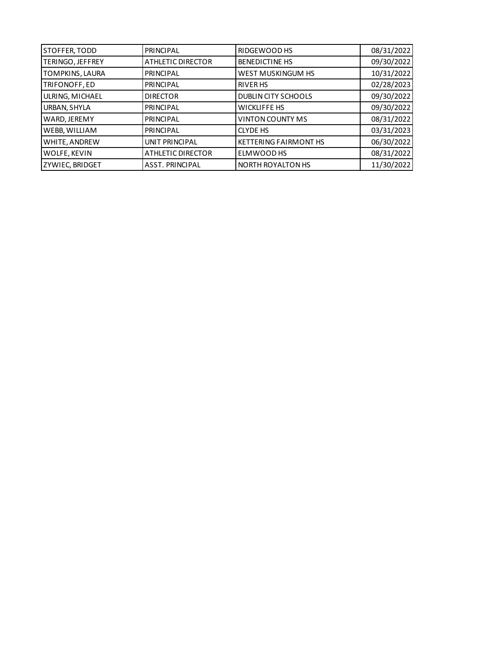| STOFFER, TODD    | PRINCIPAL                | <b>RIDGEWOOD HS</b>          | 08/31/2022 |
|------------------|--------------------------|------------------------------|------------|
| TERINGO, JEFFREY | <b>ATHLETIC DIRECTOR</b> | <b>BENEDICTINE HS</b>        | 09/30/2022 |
| TOMPKINS, LAURA  | PRINCIPAL                | <b>WEST MUSKINGUM HS</b>     | 10/31/2022 |
| TRIFONOFF, ED    | PRINCIPAL                | <b>RIVER HS</b>              | 02/28/2023 |
| ULRING, MICHAEL  | <b>DIRECTOR</b>          | <b>DUBLIN CITY SCHOOLS</b>   | 09/30/2022 |
| URBAN, SHYLA     | <b>PRINCIPAL</b>         | <b>WICKLIFFE HS</b>          | 09/30/2022 |
| WARD, JEREMY     | PRINCIPAL                | <b>VINTON COUNTY MS</b>      | 08/31/2022 |
| WEBB, WILLIAM    | PRINCIPAL                | <b>CLYDE HS</b>              | 03/31/2023 |
| WHITE, ANDREW    | <b>UNIT PRINCIPAL</b>    | <b>KETTERING FAIRMONT HS</b> | 06/30/2022 |
| WOLFE, KEVIN     | <b>ATHLETIC DIRECTOR</b> | ELMWOOD HS                   | 08/31/2022 |
| ZYWIEC, BRIDGET  | <b>ASST. PRINCIPAL</b>   | NORTH ROYALTON HS            | 11/30/2022 |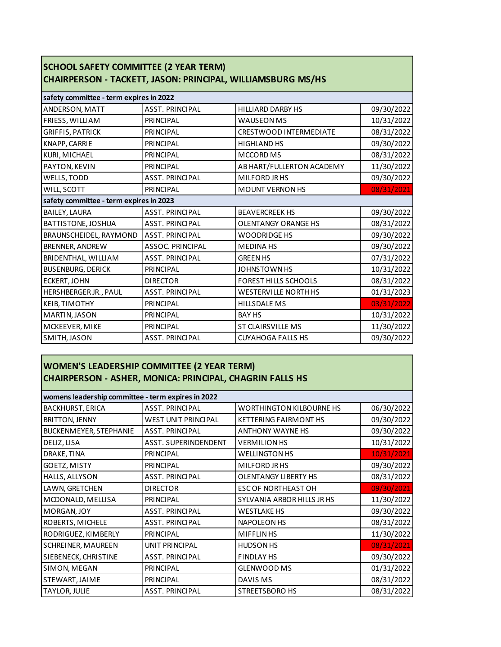| <b>SCHOOL SAFETY COMMITTEE (2 YEAR TERM)</b><br>CHAIRPERSON - TACKETT, JASON: PRINCIPAL, WILLIAMSBURG MS/HS |                        |                             |            |
|-------------------------------------------------------------------------------------------------------------|------------------------|-----------------------------|------------|
| safety committee - term expires in 2022                                                                     |                        |                             |            |
| <b>ANDERSON, MATT</b>                                                                                       | <b>ASST. PRINCIPAL</b> | <b>HILLIARD DARBY HS</b>    | 09/30/2022 |
| FRIESS, WILLIAM                                                                                             | PRINCIPAL              | <b>WAUSEON MS</b>           | 10/31/2022 |
| <b>GRIFFIS, PATRICK</b>                                                                                     | PRINCIPAL              | CRESTWOOD INTERMEDIATE      | 08/31/2022 |
| KNAPP, CARRIE                                                                                               | PRINCIPAL              | <b>HIGHLAND HS</b>          | 09/30/2022 |
| KURI, MICHAEL                                                                                               | PRINCIPAL              | <b>MCCORD MS</b>            | 08/31/2022 |
| PAYTON, KEVIN                                                                                               | PRINCIPAL              | AB HART/FULLERTON ACADEMY   | 11/30/2022 |
| WELLS, TODD                                                                                                 | <b>ASST. PRINCIPAL</b> | MILFORD JR HS               | 09/30/2022 |
| WILL, SCOTT                                                                                                 | PRINCIPAL              | <b>MOUNT VERNON HS</b>      | 08/31/2021 |
| safety committee - term expires in 2023                                                                     |                        |                             |            |
| BAILEY, LAURA                                                                                               | <b>ASST. PRINCIPAL</b> | <b>BEAVERCREEK HS</b>       | 09/30/2022 |
| BATTISTONE, JOSHUA                                                                                          | <b>ASST. PRINCIPAL</b> | <b>OLENTANGY ORANGE HS</b>  | 08/31/2022 |
| BRAUNSCHEIDEL, RAYMOND                                                                                      | <b>ASST. PRINCIPAL</b> | <b>WOODRIDGE HS</b>         | 09/30/2022 |
| BRENNER, ANDREW                                                                                             | ASSOC. PRINCIPAL       | <b>MEDINA HS</b>            | 09/30/2022 |
| BRIDENTHAL, WILLIAM                                                                                         | <b>ASST. PRINCIPAL</b> | <b>GREEN HS</b>             | 07/31/2022 |
| <b>BUSENBURG, DERICK</b>                                                                                    | <b>PRINCIPAL</b>       | JOHNSTOWN HS                | 10/31/2022 |
| <b>ECKERT, JOHN</b>                                                                                         | <b>DIRECTOR</b>        | <b>FOREST HILLS SCHOOLS</b> | 08/31/2022 |
| HERSHBERGER JR., PAUL                                                                                       | <b>ASST. PRINCIPAL</b> | <b>WESTERVILLE NORTH HS</b> | 01/31/2023 |
| KEIB, TIMOTHY                                                                                               | <b>PRINCIPAL</b>       | <b>HILLSDALE MS</b>         | 03/31/2022 |
| MARTIN, JASON                                                                                               | <b>PRINCIPAL</b>       | <b>BAY HS</b>               | 10/31/2022 |
| MCKEEVER, MIKE                                                                                              | PRINCIPAL              | <b>ST CLAIRSVILLE MS</b>    | 11/30/2022 |
| SMITH, JASON                                                                                                | <b>ASST. PRINCIPAL</b> | <b>CUYAHOGA FALLS HS</b>    | 09/30/2022 |

## **WOMEN'S LEADERSHIP COMMITTEE (2 YEAR TERM) CHAIRPERSON - ASHER, MONICA: PRINCIPAL, CHAGRIN FALLS HS**

| womens leadership committee - term expires in 2022 |                            |                                 |            |
|----------------------------------------------------|----------------------------|---------------------------------|------------|
| <b>BACKHURST, ERICA</b>                            | <b>ASST. PRINCIPAL</b>     | <b>WORTHINGTON KILBOURNE HS</b> | 06/30/2022 |
| <b>BRITTON, JENNY</b>                              | <b>WEST UNIT PRINCIPAL</b> | <b>KETTERING FAIRMONT HS</b>    | 09/30/2022 |
| <b>BUCKENMEYER, STEPHANIE</b>                      | <b>ASST. PRINCIPAL</b>     | <b>ANTHONY WAYNE HS</b>         | 09/30/2022 |
| DELIZ, LISA                                        | ASST. SUPERINDENDENT       | <b>VERMILION HS</b>             | 10/31/2022 |
| DRAKE, TINA                                        | <b>PRINCIPAL</b>           | <b>WELLINGTON HS</b>            | 10/31/2021 |
| GOETZ, MISTY                                       | PRINCIPAL                  | MILFORD JR HS                   | 09/30/2022 |
| HALLS, ALLYSON                                     | <b>ASST. PRINCIPAL</b>     | <b>OLENTANGY LIBERTY HS</b>     | 08/31/2022 |
| LAWN, GRETCHEN                                     | <b>DIRECTOR</b>            | <b>ESC OF NORTHEAST OH</b>      | 09/30/2021 |
| MCDONALD, MELLISA                                  | <b>PRINCIPAL</b>           | SYLVANIA ARBOR HILLS JR HS      | 11/30/2022 |
| MORGAN, JOY                                        | <b>ASST. PRINCIPAL</b>     | <b>WESTLAKE HS</b>              | 09/30/2022 |
| ROBERTS, MICHELE                                   | <b>ASST. PRINCIPAL</b>     | <b>NAPOLEON HS</b>              | 08/31/2022 |
| RODRIGUEZ, KIMBERLY                                | <b>PRINCIPAL</b>           | <b>MIFFLINHS</b>                | 11/30/2022 |
| SCHREINER, MAUREEN                                 | UNIT PRINCIPAL             | <b>HUDSON HS</b>                | 08/31/2021 |
| SIEBENECK, CHRISTINE                               | <b>ASST. PRINCIPAL</b>     | <b>FINDLAY HS</b>               | 09/30/2022 |
| SIMON, MEGAN                                       | <b>PRINCIPAL</b>           | <b>GLENWOOD MS</b>              | 01/31/2022 |
| STEWART, JAIME                                     | <b>PRINCIPAL</b>           | DAVIS MS                        | 08/31/2022 |
| TAYLOR, JULIE                                      | <b>ASST. PRINCIPAL</b>     | STREETSBORO HS                  | 08/31/2022 |